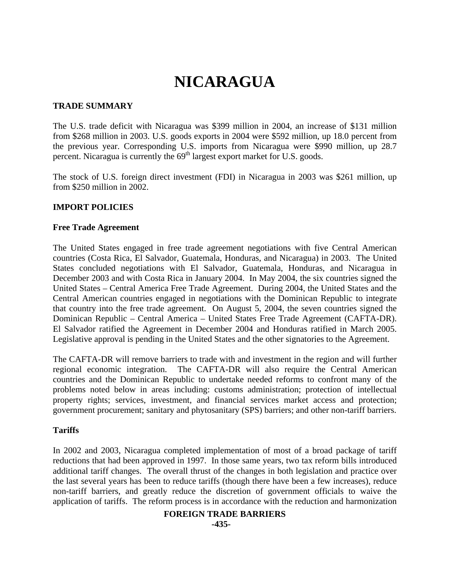# **NICARAGUA**

## **TRADE SUMMARY**

The U.S. trade deficit with Nicaragua was \$399 million in 2004, an increase of \$131 million from \$268 million in 2003. U.S. goods exports in 2004 were \$592 million, up 18.0 percent from the previous year. Corresponding U.S. imports from Nicaragua were \$990 million, up 28.7 percent. Nicaragua is currently the  $69<sup>th</sup>$  largest export market for U.S. goods.

The stock of U.S. foreign direct investment (FDI) in Nicaragua in 2003 was \$261 million, up from \$250 million in 2002.

# **IMPORT POLICIES**

#### **Free Trade Agreement**

The United States engaged in free trade agreement negotiations with five Central American countries (Costa Rica, El Salvador, Guatemala, Honduras, and Nicaragua) in 2003. The United States concluded negotiations with El Salvador, Guatemala, Honduras, and Nicaragua in December 2003 and with Costa Rica in January 2004. In May 2004, the six countries signed the United States – Central America Free Trade Agreement. During 2004, the United States and the Central American countries engaged in negotiations with the Dominican Republic to integrate that country into the free trade agreement. On August 5, 2004, the seven countries signed the Dominican Republic – Central America – United States Free Trade Agreement (CAFTA-DR). El Salvador ratified the Agreement in December 2004 and Honduras ratified in March 2005. Legislative approval is pending in the United States and the other signatories to the Agreement.

The CAFTA-DR will remove barriers to trade with and investment in the region and will further regional economic integration. The CAFTA-DR will also require the Central American countries and the Dominican Republic to undertake needed reforms to confront many of the problems noted below in areas including: customs administration; protection of intellectual property rights; services, investment, and financial services market access and protection; government procurement; sanitary and phytosanitary (SPS) barriers; and other non-tariff barriers.

## **Tariffs**

In 2002 and 2003, Nicaragua completed implementation of most of a broad package of tariff reductions that had been approved in 1997. In those same years, two tax reform bills introduced additional tariff changes. The overall thrust of the changes in both legislation and practice over the last several years has been to reduce tariffs (though there have been a few increases), reduce non-tariff barriers, and greatly reduce the discretion of government officials to waive the application of tariffs. The reform process is in accordance with the reduction and harmonization

# **FOREIGN TRADE BARRIERS**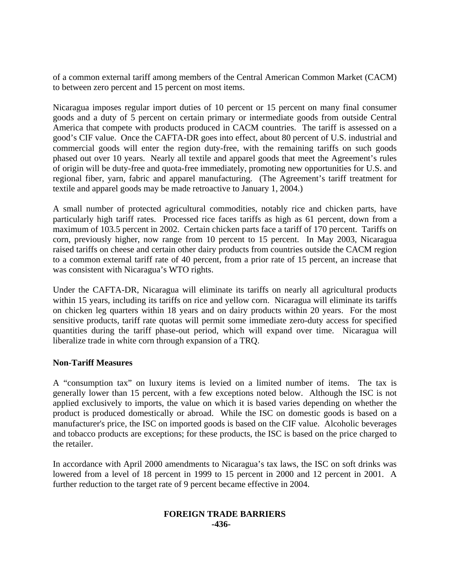of a common external tariff among members of the Central American Common Market (CACM) to between zero percent and 15 percent on most items.

Nicaragua imposes regular import duties of 10 percent or 15 percent on many final consumer goods and a duty of 5 percent on certain primary or intermediate goods from outside Central America that compete with products produced in CACM countries. The tariff is assessed on a good's CIF value. Once the CAFTA-DR goes into effect, about 80 percent of U.S. industrial and commercial goods will enter the region duty-free, with the remaining tariffs on such goods phased out over 10 years. Nearly all textile and apparel goods that meet the Agreement's rules of origin will be duty-free and quota-free immediately, promoting new opportunities for U.S. and regional fiber, yarn, fabric and apparel manufacturing. (The Agreement's tariff treatment for textile and apparel goods may be made retroactive to January 1, 2004.)

A small number of protected agricultural commodities, notably rice and chicken parts, have particularly high tariff rates. Processed rice faces tariffs as high as 61 percent, down from a maximum of 103.5 percent in 2002. Certain chicken parts face a tariff of 170 percent. Tariffs on corn, previously higher, now range from 10 percent to 15 percent. In May 2003, Nicaragua raised tariffs on cheese and certain other dairy products from countries outside the CACM region to a common external tariff rate of 40 percent, from a prior rate of 15 percent, an increase that was consistent with Nicaragua's WTO rights.

Under the CAFTA-DR, Nicaragua will eliminate its tariffs on nearly all agricultural products within 15 years, including its tariffs on rice and yellow corn. Nicaragua will eliminate its tariffs on chicken leg quarters within 18 years and on dairy products within 20 years. For the most sensitive products, tariff rate quotas will permit some immediate zero-duty access for specified quantities during the tariff phase-out period, which will expand over time. Nicaragua will liberalize trade in white corn through expansion of a TRQ.

## **Non-Tariff Measures**

A "consumption tax" on luxury items is levied on a limited number of items. The tax is generally lower than 15 percent, with a few exceptions noted below. Although the ISC is not applied exclusively to imports, the value on which it is based varies depending on whether the product is produced domestically or abroad. While the ISC on domestic goods is based on a manufacturer's price, the ISC on imported goods is based on the CIF value. Alcoholic beverages and tobacco products are exceptions; for these products, the ISC is based on the price charged to the retailer.

In accordance with April 2000 amendments to Nicaragua's tax laws, the ISC on soft drinks was lowered from a level of 18 percent in 1999 to 15 percent in 2000 and 12 percent in 2001. A further reduction to the target rate of 9 percent became effective in 2004.

#### **FOREIGN TRADE BARRIERS -436-**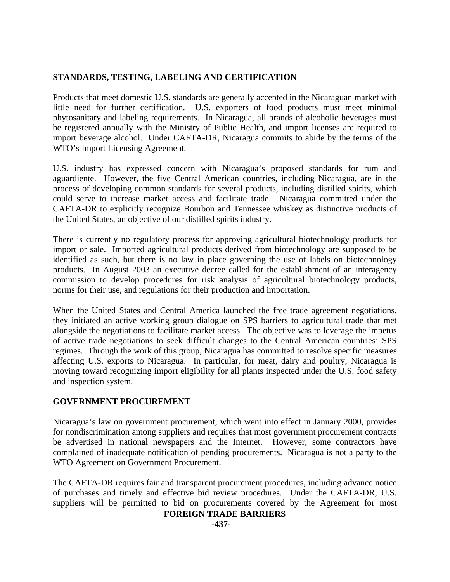# **STANDARDS, TESTING, LABELING AND CERTIFICATION**

Products that meet domestic U.S. standards are generally accepted in the Nicaraguan market with little need for further certification. U.S. exporters of food products must meet minimal phytosanitary and labeling requirements. In Nicaragua, all brands of alcoholic beverages must be registered annually with the Ministry of Public Health, and import licenses are required to import beverage alcohol. Under CAFTA-DR, Nicaragua commits to abide by the terms of the WTO's Import Licensing Agreement.

U.S. industry has expressed concern with Nicaragua's proposed standards for rum and aguardiente. However, the five Central American countries, including Nicaragua, are in the process of developing common standards for several products, including distilled spirits, which could serve to increase market access and facilitate trade. Nicaragua committed under the CAFTA-DR to explicitly recognize Bourbon and Tennessee whiskey as distinctive products of the United States, an objective of our distilled spirits industry.

There is currently no regulatory process for approving agricultural biotechnology products for import or sale. Imported agricultural products derived from biotechnology are supposed to be identified as such, but there is no law in place governing the use of labels on biotechnology products. In August 2003 an executive decree called for the establishment of an interagency commission to develop procedures for risk analysis of agricultural biotechnology products, norms for their use, and regulations for their production and importation.

When the United States and Central America launched the free trade agreement negotiations, they initiated an active working group dialogue on SPS barriers to agricultural trade that met alongside the negotiations to facilitate market access. The objective was to leverage the impetus of active trade negotiations to seek difficult changes to the Central American countries' SPS regimes. Through the work of this group, Nicaragua has committed to resolve specific measures affecting U.S. exports to Nicaragua. In particular, for meat, dairy and poultry, Nicaragua is moving toward recognizing import eligibility for all plants inspected under the U.S. food safety and inspection system.

# **GOVERNMENT PROCUREMENT**

Nicaragua's law on government procurement, which went into effect in January 2000, provides for nondiscrimination among suppliers and requires that most government procurement contracts be advertised in national newspapers and the Internet. However, some contractors have complained of inadequate notification of pending procurements. Nicaragua is not a party to the WTO Agreement on Government Procurement.

The CAFTA-DR requires fair and transparent procurement procedures, including advance notice of purchases and timely and effective bid review procedures. Under the CAFTA-DR, U.S. suppliers will be permitted to bid on procurements covered by the Agreement for most

# **FOREIGN TRADE BARRIERS**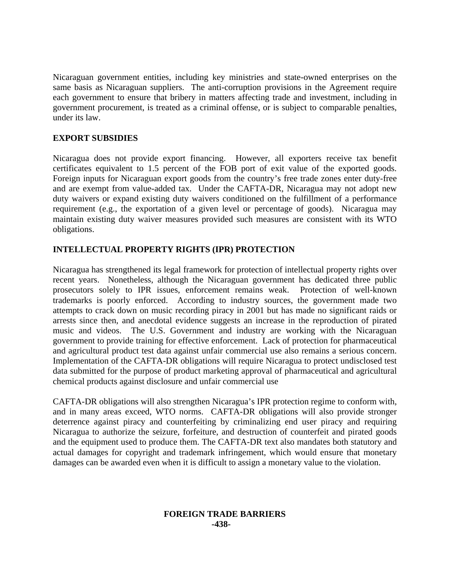Nicaraguan government entities, including key ministries and state-owned enterprises on the same basis as Nicaraguan suppliers. The anti-corruption provisions in the Agreement require each government to ensure that bribery in matters affecting trade and investment, including in government procurement, is treated as a criminal offense, or is subject to comparable penalties, under its law.

# **EXPORT SUBSIDIES**

Nicaragua does not provide export financing. However, all exporters receive tax benefit certificates equivalent to 1.5 percent of the FOB port of exit value of the exported goods. Foreign inputs for Nicaraguan export goods from the country's free trade zones enter duty-free and are exempt from value-added tax. Under the CAFTA-DR, Nicaragua may not adopt new duty waivers or expand existing duty waivers conditioned on the fulfillment of a performance requirement (e.g., the exportation of a given level or percentage of goods). Nicaragua may maintain existing duty waiver measures provided such measures are consistent with its WTO obligations.

# **INTELLECTUAL PROPERTY RIGHTS (IPR) PROTECTION**

Nicaragua has strengthened its legal framework for protection of intellectual property rights over recent years. Nonetheless, although the Nicaraguan government has dedicated three public prosecutors solely to IPR issues, enforcement remains weak. Protection of well-known trademarks is poorly enforced. According to industry sources, the government made two attempts to crack down on music recording piracy in 2001 but has made no significant raids or arrests since then, and anecdotal evidence suggests an increase in the reproduction of pirated music and videos. The U.S. Government and industry are working with the Nicaraguan government to provide training for effective enforcement. Lack of protection for pharmaceutical and agricultural product test data against unfair commercial use also remains a serious concern. Implementation of the CAFTA-DR obligations will require Nicaragua to protect undisclosed test data submitted for the purpose of product marketing approval of pharmaceutical and agricultural chemical products against disclosure and unfair commercial use

CAFTA-DR obligations will also strengthen Nicaragua's IPR protection regime to conform with, and in many areas exceed, WTO norms. CAFTA-DR obligations will also provide stronger deterrence against piracy and counterfeiting by criminalizing end user piracy and requiring Nicaragua to authorize the seizure, forfeiture, and destruction of counterfeit and pirated goods and the equipment used to produce them. The CAFTA-DR text also mandates both statutory and actual damages for copyright and trademark infringement, which would ensure that monetary damages can be awarded even when it is difficult to assign a monetary value to the violation.

#### **FOREIGN TRADE BARRIERS -438-**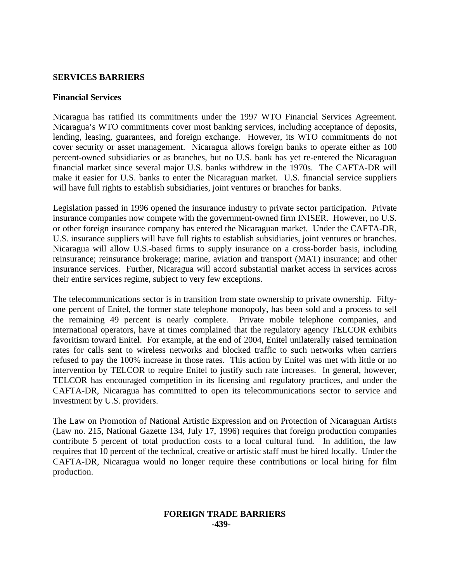## **SERVICES BARRIERS**

#### **Financial Services**

Nicaragua has ratified its commitments under the 1997 WTO Financial Services Agreement. Nicaragua's WTO commitments cover most banking services, including acceptance of deposits, lending, leasing, guarantees, and foreign exchange. However, its WTO commitments do not cover security or asset management. Nicaragua allows foreign banks to operate either as 100 percent-owned subsidiaries or as branches, but no U.S. bank has yet re-entered the Nicaraguan financial market since several major U.S. banks withdrew in the 1970s. The CAFTA-DR will make it easier for U.S. banks to enter the Nicaraguan market. U.S. financial service suppliers will have full rights to establish subsidiaries, joint ventures or branches for banks.

Legislation passed in 1996 opened the insurance industry to private sector participation. Private insurance companies now compete with the government-owned firm INISER. However, no U.S. or other foreign insurance company has entered the Nicaraguan market. Under the CAFTA-DR, U.S. insurance suppliers will have full rights to establish subsidiaries, joint ventures or branches. Nicaragua will allow U.S.-based firms to supply insurance on a cross-border basis, including reinsurance; reinsurance brokerage; marine, aviation and transport (MAT) insurance; and other insurance services. Further, Nicaragua will accord substantial market access in services across their entire services regime, subject to very few exceptions.

The telecommunications sector is in transition from state ownership to private ownership. Fiftyone percent of Enitel, the former state telephone monopoly, has been sold and a process to sell the remaining 49 percent is nearly complete. Private mobile telephone companies, and international operators, have at times complained that the regulatory agency TELCOR exhibits favoritism toward Enitel. For example, at the end of 2004, Enitel unilaterally raised termination rates for calls sent to wireless networks and blocked traffic to such networks when carriers refused to pay the 100% increase in those rates. This action by Enitel was met with little or no intervention by TELCOR to require Enitel to justify such rate increases. In general, however, TELCOR has encouraged competition in its licensing and regulatory practices, and under the CAFTA-DR, Nicaragua has committed to open its telecommunications sector to service and investment by U.S. providers.

The Law on Promotion of National Artistic Expression and on Protection of Nicaraguan Artists (Law no. 215, National Gazette 134, July 17, 1996) requires that foreign production companies contribute 5 percent of total production costs to a local cultural fund. In addition, the law requires that 10 percent of the technical, creative or artistic staff must be hired locally. Under the CAFTA-DR, Nicaragua would no longer require these contributions or local hiring for film production.

#### **FOREIGN TRADE BARRIERS -439-**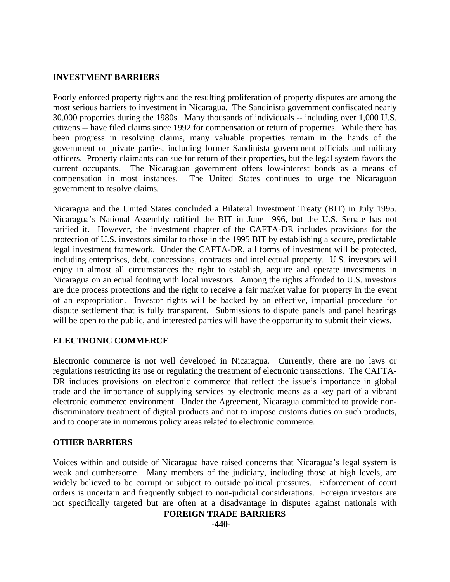## **INVESTMENT BARRIERS**

Poorly enforced property rights and the resulting proliferation of property disputes are among the most serious barriers to investment in Nicaragua. The Sandinista government confiscated nearly 30,000 properties during the 1980s. Many thousands of individuals -- including over 1,000 U.S. citizens -- have filed claims since 1992 for compensation or return of properties. While there has been progress in resolving claims, many valuable properties remain in the hands of the government or private parties, including former Sandinista government officials and military officers. Property claimants can sue for return of their properties, but the legal system favors the current occupants. The Nicaraguan government offers low-interest bonds as a means of compensation in most instances. The United States continues to urge the Nicaraguan government to resolve claims.

Nicaragua and the United States concluded a Bilateral Investment Treaty (BIT) in July 1995. Nicaragua's National Assembly ratified the BIT in June 1996, but the U.S. Senate has not ratified it. However, the investment chapter of the CAFTA-DR includes provisions for the protection of U.S. investors similar to those in the 1995 BIT by establishing a secure, predictable legal investment framework. Under the CAFTA-DR, all forms of investment will be protected, including enterprises, debt, concessions, contracts and intellectual property. U.S. investors will enjoy in almost all circumstances the right to establish, acquire and operate investments in Nicaragua on an equal footing with local investors. Among the rights afforded to U.S. investors are due process protections and the right to receive a fair market value for property in the event of an expropriation. Investor rights will be backed by an effective, impartial procedure for dispute settlement that is fully transparent. Submissions to dispute panels and panel hearings will be open to the public, and interested parties will have the opportunity to submit their views.

## **ELECTRONIC COMMERCE**

Electronic commerce is not well developed in Nicaragua. Currently, there are no laws or regulations restricting its use or regulating the treatment of electronic transactions. The CAFTA-DR includes provisions on electronic commerce that reflect the issue's importance in global trade and the importance of supplying services by electronic means as a key part of a vibrant electronic commerce environment. Under the Agreement, Nicaragua committed to provide nondiscriminatory treatment of digital products and not to impose customs duties on such products, and to cooperate in numerous policy areas related to electronic commerce.

## **OTHER BARRIERS**

Voices within and outside of Nicaragua have raised concerns that Nicaragua's legal system is weak and cumbersome. Many members of the judiciary, including those at high levels, are widely believed to be corrupt or subject to outside political pressures. Enforcement of court orders is uncertain and frequently subject to non-judicial considerations. Foreign investors are not specifically targeted but are often at a disadvantage in disputes against nationals with

#### **FOREIGN TRADE BARRIERS**